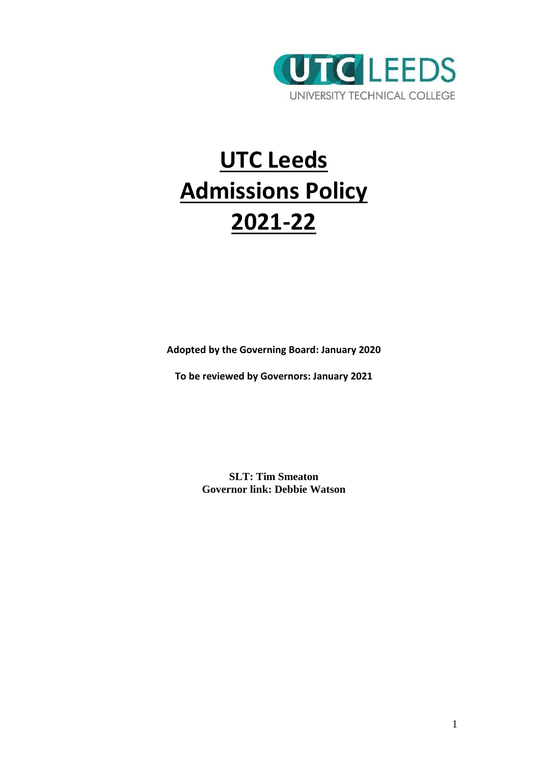

# **UTC Leeds Admissions Policy 2021-22**

**Adopted by the Governing Board: January 2020**

**To be reviewed by Governors: January 2021**

**SLT: Tim Smeaton Governor link: Debbie Watson**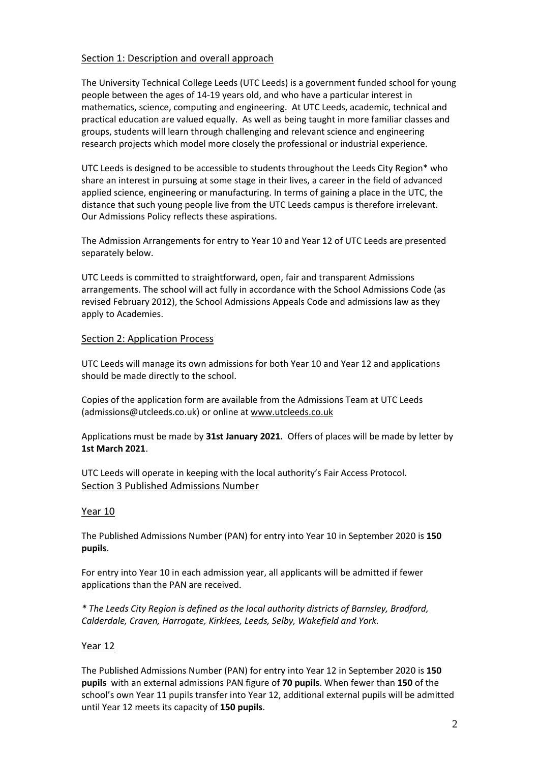## Section 1: Description and overall approach

The University Technical College Leeds (UTC Leeds) is a government funded school for young people between the ages of 14-19 years old, and who have a particular interest in mathematics, science, computing and engineering. At UTC Leeds, academic, technical and practical education are valued equally. As well as being taught in more familiar classes and groups, students will learn through challenging and relevant science and engineering research projects which model more closely the professional or industrial experience.

UTC Leeds is designed to be accessible to students throughout the Leeds City Region\* who share an interest in pursuing at some stage in their lives, a career in the field of advanced applied science, engineering or manufacturing. In terms of gaining a place in the UTC, the distance that such young people live from the UTC Leeds campus is therefore irrelevant. Our Admissions Policy reflects these aspirations.

The Admission Arrangements for entry to Year 10 and Year 12 of UTC Leeds are presented separately below.

UTC Leeds is committed to straightforward, open, fair and transparent Admissions arrangements. The school will act fully in accordance with the School Admissions Code (as revised February 2012), the School Admissions Appeals Code and admissions law as they apply to Academies.

## Section 2: Application Process

UTC Leeds will manage its own admissions for both Year 10 and Year 12 and applications should be made directly to the school.

Copies of the application form are available from the Admissions Team at UTC Leeds (admissions@utcleeds.co.uk) or online at [www.utcleeds.co.uk](http://www.utcleeds.co.uk/)

Applications must be made by **31st January 2021.** Offers of places will be made by letter by **1st March 2021**.

UTC Leeds will operate in keeping with the local authority's Fair Access Protocol. Section 3 Published Admissions Number

## Year 10

The Published Admissions Number (PAN) for entry into Year 10 in September 2020 is **150 pupils**.

For entry into Year 10 in each admission year, all applicants will be admitted if fewer applications than the PAN are received.

*\* The Leeds City Region is defined as the local authority districts of Barnsley, Bradford, Calderdale, Craven, Harrogate, Kirklees, Leeds, Selby, Wakefield and York.*

## Year 12

The Published Admissions Number (PAN) for entry into Year 12 in September 2020 is **150 pupils** with an external admissions PAN figure of **70 pupils**. When fewer than **150** of the school's own Year 11 pupils transfer into Year 12, additional external pupils will be admitted until Year 12 meets its capacity of **150 pupils**.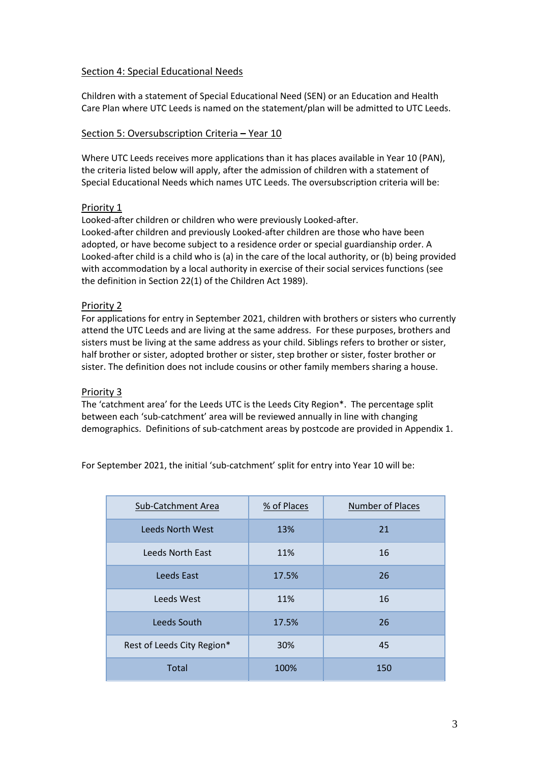## Section 4: Special Educational Needs

Children with a statement of Special Educational Need (SEN) or an Education and Health Care Plan where UTC Leeds is named on the statement/plan will be admitted to UTC Leeds.

## Section 5: Oversubscription Criteria **–** Year 10

Where UTC Leeds receives more applications than it has places available in Year 10 (PAN), the criteria listed below will apply, after the admission of children with a statement of Special Educational Needs which names UTC Leeds. The oversubscription criteria will be:

## Priority 1

Looked-after children or children who were previously Looked-after. Looked-after children and previously Looked-after children are those who have been adopted, or have become subject to a residence order or special guardianship order. A Looked-after child is a child who is (a) in the care of the local authority, or (b) being provided with accommodation by a local authority in exercise of their social services functions (see the definition in Section 22(1) of the Children Act 1989).

## Priority 2

For applications for entry in September 2021, children with brothers or sisters who currently attend the UTC Leeds and are living at the same address. For these purposes, brothers and sisters must be living at the same address as your child. Siblings refers to brother or sister, half brother or sister, adopted brother or sister, step brother or sister, foster brother or sister. The definition does not include cousins or other family members sharing a house.

## Priority 3

The 'catchment area' for the Leeds UTC is the Leeds City Region\*. The percentage split between each 'sub-catchment' area will be reviewed annually in line with changing demographics. Definitions of sub-catchment areas by postcode are provided in Appendix 1.

For September 2021, the initial 'sub-catchment' split for entry into Year 10 will be:

| Sub-Catchment Area         | % of Places | <b>Number of Places</b> |
|----------------------------|-------------|-------------------------|
| <b>Leeds North West</b>    | 13%         | 21                      |
| Leeds North East           | 11%         | 16                      |
| Leeds East                 | 17.5%       | 26                      |
| Leeds West                 | 11%         | 16                      |
| Leeds South                | 17.5%       | 26                      |
| Rest of Leeds City Region* | 30%         | 45                      |
| <b>Total</b>               | 100%        | 150                     |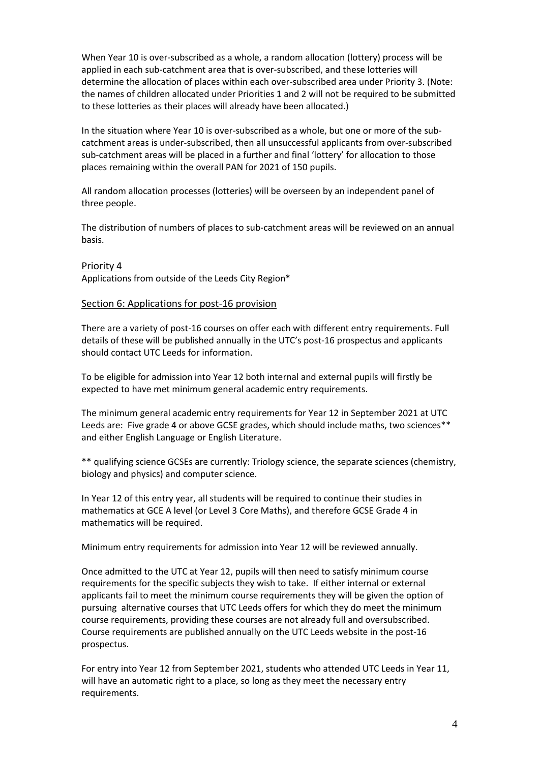When Year 10 is over-subscribed as a whole, a random allocation (lottery) process will be applied in each sub-catchment area that is over-subscribed, and these lotteries will determine the allocation of places within each over-subscribed area under Priority 3. (Note: the names of children allocated under Priorities 1 and 2 will not be required to be submitted to these lotteries as their places will already have been allocated.)

In the situation where Year 10 is over-subscribed as a whole, but one or more of the subcatchment areas is under-subscribed, then all unsuccessful applicants from over-subscribed sub-catchment areas will be placed in a further and final 'lottery' for allocation to those places remaining within the overall PAN for 2021 of 150 pupils.

All random allocation processes (lotteries) will be overseen by an independent panel of three people.

The distribution of numbers of places to sub-catchment areas will be reviewed on an annual basis.

#### Priority 4

Applications from outside of the Leeds City Region\*

#### Section 6: Applications for post-16 provision

There are a variety of post-16 courses on offer each with different entry requirements. Full details of these will be published annually in the UTC's post-16 prospectus and applicants should contact UTC Leeds for information.

To be eligible for admission into Year 12 both internal and external pupils will firstly be expected to have met minimum general academic entry requirements.

The minimum general academic entry requirements for Year 12 in September 2021 at UTC Leeds are: Five grade 4 or above GCSE grades, which should include maths, two sciences\*\* and either English Language or English Literature.

\*\* qualifying science GCSEs are currently: Triology science, the separate sciences (chemistry, biology and physics) and computer science.

In Year 12 of this entry year, all students will be required to continue their studies in mathematics at GCE A level (or Level 3 Core Maths), and therefore GCSE Grade 4 in mathematics will be required.

Minimum entry requirements for admission into Year 12 will be reviewed annually.

Once admitted to the UTC at Year 12, pupils will then need to satisfy minimum course requirements for the specific subjects they wish to take. If either internal or external applicants fail to meet the minimum course requirements they will be given the option of pursuing alternative courses that UTC Leeds offers for which they do meet the minimum course requirements, providing these courses are not already full and oversubscribed. Course requirements are published annually on the UTC Leeds website in the post-16 prospectus.

For entry into Year 12 from September 2021, students who attended UTC Leeds in Year 11, will have an automatic right to a place, so long as they meet the necessary entry requirements.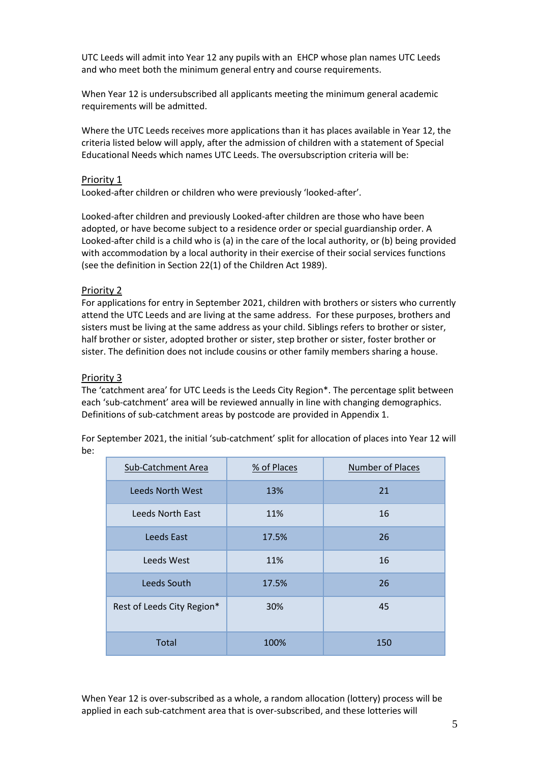UTC Leeds will admit into Year 12 any pupils with an EHCP whose plan names UTC Leeds and who meet both the minimum general entry and course requirements.

When Year 12 is undersubscribed all applicants meeting the minimum general academic requirements will be admitted.

Where the UTC Leeds receives more applications than it has places available in Year 12, the criteria listed below will apply, after the admission of children with a statement of Special Educational Needs which names UTC Leeds. The oversubscription criteria will be:

#### Priority 1

Looked-after children or children who were previously 'looked-after'.

Looked-after children and previously Looked-after children are those who have been adopted, or have become subject to a residence order or special guardianship order. A Looked-after child is a child who is (a) in the care of the local authority, or (b) being provided with accommodation by a local authority in their exercise of their social services functions (see the definition in Section 22(1) of the Children Act 1989).

#### Priority 2

For applications for entry in September 2021, children with brothers or sisters who currently attend the UTC Leeds and are living at the same address. For these purposes, brothers and sisters must be living at the same address as your child. Siblings refers to brother or sister, half brother or sister, adopted brother or sister, step brother or sister, foster brother or sister. The definition does not include cousins or other family members sharing a house.

#### Priority 3

The 'catchment area' for UTC Leeds is the Leeds City Region\*. The percentage split between each 'sub-catchment' area will be reviewed annually in line with changing demographics. Definitions of sub-catchment areas by postcode are provided in Appendix 1.

For September 2021, the initial 'sub-catchment' split for allocation of places into Year 12 will be:

| Sub-Catchment Area         | % of Places | <b>Number of Places</b> |
|----------------------------|-------------|-------------------------|
| <b>Leeds North West</b>    | 13%         | 21                      |
| Leeds North East           | 11%         | 16                      |
| <b>Leeds East</b>          | 17.5%       | 26                      |
| Leeds West                 | 11%         | 16                      |
| Leeds South                | 17.5%       | 26                      |
| Rest of Leeds City Region* | 30%         | 45                      |
| Total                      | 100%        | 150                     |

When Year 12 is over-subscribed as a whole, a random allocation (lottery) process will be applied in each sub-catchment area that is over-subscribed, and these lotteries will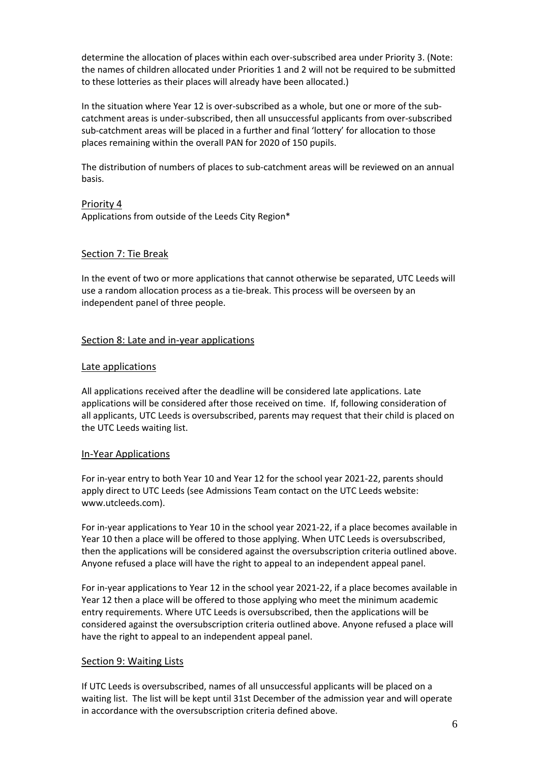determine the allocation of places within each over-subscribed area under Priority 3. (Note: the names of children allocated under Priorities 1 and 2 will not be required to be submitted to these lotteries as their places will already have been allocated.)

In the situation where Year 12 is over-subscribed as a whole, but one or more of the subcatchment areas is under-subscribed, then all unsuccessful applicants from over-subscribed sub-catchment areas will be placed in a further and final 'lottery' for allocation to those places remaining within the overall PAN for 2020 of 150 pupils.

The distribution of numbers of places to sub-catchment areas will be reviewed on an annual basis.

Priority 4

Applications from outside of the Leeds City Region\*

#### Section 7: Tie Break

In the event of two or more applications that cannot otherwise be separated, UTC Leeds will use a random allocation process as a tie-break. This process will be overseen by an independent panel of three people.

#### Section 8: Late and in-year applications

#### Late applications

All applications received after the deadline will be considered late applications. Late applications will be considered after those received on time. If, following consideration of all applicants, UTC Leeds is oversubscribed, parents may request that their child is placed on the UTC Leeds waiting list.

#### In-Year Applications

For in-year entry to both Year 10 and Year 12 for the school year 2021-22, parents should apply direct to UTC Leeds (see Admissions Team contact on the UTC Leeds website: www.utcleeds.com).

For in-year applications to Year 10 in the school year 2021-22, if a place becomes available in Year 10 then a place will be offered to those applying. When UTC Leeds is oversubscribed, then the applications will be considered against the oversubscription criteria outlined above. Anyone refused a place will have the right to appeal to an independent appeal panel.

For in-year applications to Year 12 in the school year 2021-22, if a place becomes available in Year 12 then a place will be offered to those applying who meet the minimum academic entry requirements. Where UTC Leeds is oversubscribed, then the applications will be considered against the oversubscription criteria outlined above. Anyone refused a place will have the right to appeal to an independent appeal panel.

#### Section 9: Waiting Lists

If UTC Leeds is oversubscribed, names of all unsuccessful applicants will be placed on a waiting list. The list will be kept until 31st December of the admission year and will operate in accordance with the oversubscription criteria defined above.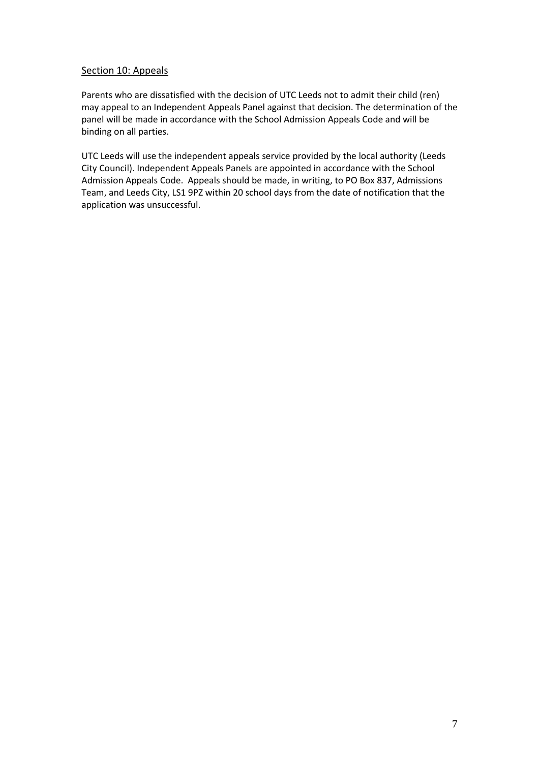## Section 10: Appeals

Parents who are dissatisfied with the decision of UTC Leeds not to admit their child (ren) may appeal to an Independent Appeals Panel against that decision. The determination of the panel will be made in accordance with the School Admission Appeals Code and will be binding on all parties.

UTC Leeds will use the independent appeals service provided by the local authority (Leeds City Council). Independent Appeals Panels are appointed in accordance with the School Admission Appeals Code. Appeals should be made, in writing, to PO Box 837, Admissions Team, and Leeds City, LS1 9PZ within 20 school days from the date of notification that the application was unsuccessful.